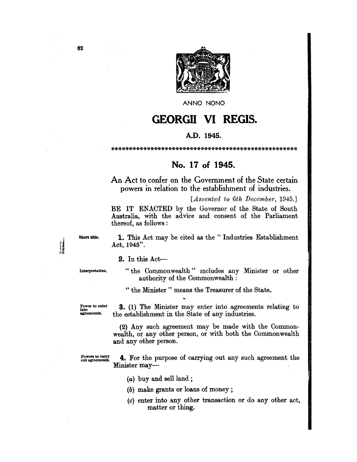

ANNO NONO

## **GEORGII VI REGIS.**

## A.D. 1945.

## No. 17 of 1945.

An Act to confer on the Government of the State certain powers in relation to the establishment of industries.

[Assented to 6th December, 1945.]

BE IT ENACTED by the Governor of the State of South Australia, with the advice and consent of the Parliament thereof, as follows:

Short title.

1. This Act may be cited as the "Industries Establishment Act,  $1945$ ".

## $2.$  In this Act-

Interpretation.

"the Commonwealth" includes any Minister or other authority of the Commonwealth :

" the Minister" means the Treasurer of the State.

Power to enter<br>into agreements.

**3.** (1) The Minister may enter into agreements relating to the establishment in the State of any industries.

(2) Any such agreement may be made with the Commonwealth, or any other person, or with both the Commonwealth and any other person.

Powers to carry out agreements.

4. For the purpose of carrying out any such agreement the Minister may-

- $(a)$  buy and sell land;
- $(b)$  make grants or loans of money;
- (c) enter into any other transaction or do any other act, matter or thing.

62